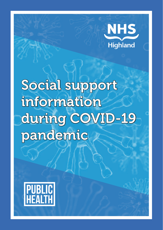

# Social support information during COVID-19 pandemic

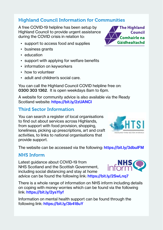# Highland Council Information for Communities

A free COVID-19 helpline has been setup by Highland Council to provide urgent assistance during the COVID crisis in relation to:

- support to access food and supplies
- business grants
- education
- support with applying for welfare benefits
- information on keyworkers
- how to volunteer
- adult and children's social care.

You can call the Highland Council COVID helpline free on: 0300 303 1362. It is open weekdays 8am to 6pm.

A website for community advice is also available via the Ready Scotland website: <https://bit.ly/2zUANCI>

# Third Sector Information

You can search a register of local organisations to find out about services across Highlands, from support with food provision, shopping, loneliness, picking up prescriptions, art and craft activities, to links to national organisations that provide support.



The website can be accessed via the following: <https://bit.ly/3dbulFM>

# NHS Inform

Latest guidance about COVID-19 from NHS Scotland and the Scottish Government, including social distancing and stay at home advice can be found the following link: https://bit.ly/2SwLng7



There is a whole range of information on NHS inform including details on coping with money worries which can be found via the following link: <https://bit.ly/2ysYlyf>

Information on mental health support can be found through the following link: <https://bit.ly/3b418uY>

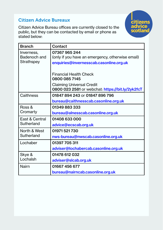# Citizen Advice Bureaux

Citizen Advice Bureau offices are currently closed to the public, but they can be contacted by email or phone as stated below:



| <b>Branch</b>                            | Contact                                                                                                    |
|------------------------------------------|------------------------------------------------------------------------------------------------------------|
| Inverness,<br>Badenoch and<br>Strathspey | 07367965244<br>(only if you have an emergency, otherwise email)<br>enquiries@invernesscab.casonline.org.uk |
|                                          | <b>Financial Health Check</b><br>0800 085 7145                                                             |
|                                          | <b>Claiming Universal Credit</b><br>0800 023 2581 or webchat: https://bit.ly/2yk2fcT                       |
| Caithness                                | 01847 894 243 or 01847 896 796                                                                             |
|                                          | bureau@caithnesscab.casonline.org.uk                                                                       |
| Ross &<br>Cromarty                       | 01349 883 333                                                                                              |
|                                          | bureau@alnesscab.casonline.org.uk                                                                          |
| East & Central<br>Sutherland             | 01408 633 000                                                                                              |
|                                          | advice@ecscab.org.uk                                                                                       |
| North & West<br>Sutherland               | 01971 521 730                                                                                              |
|                                          | nws-bureau@nwscab.casonline.org.uk                                                                         |
| Lochaber                                 | 01397 705 311                                                                                              |
|                                          | adviser@lochabercab.casonline.org.uk                                                                       |
| Skye &<br>Lochalsh                       | 01478 612 032                                                                                              |
|                                          | adviser@slcab.org.uk                                                                                       |
| Nairn                                    | 01667 456 677                                                                                              |
|                                          | bureau@nairncab.casonline.org.uk                                                                           |